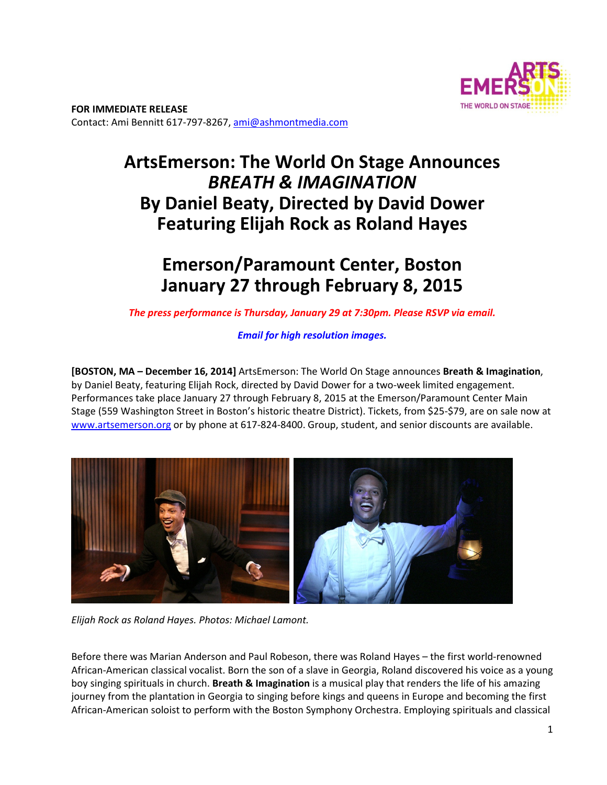

# **ArtsEmerson: The World On Stage Announces**  *BREATH & IMAGINATION* **By Daniel Beaty, Directed by David Dower Featuring Elijah Rock as Roland Hayes**

## **Emerson/Paramount Center, Boston January 27 through February 8, 2015**

*The press performance is Thursday, January 29 at 7:30pm. Please RSVP via email.*

*Email for high resolution images.*

**[BOSTON, MA – December 16, 2014]** ArtsEmerson: The World On Stage announces **Breath & Imagination**, by Daniel Beaty, featuring Elijah Rock, directed by David Dower for a two-week limited engagement. Performances take place January 27 through February 8, 2015 at the Emerson/Paramount Center Main Stage (559 Washington Street in Boston's historic theatre District). Tickets, from \$25‐\$79, are on sale now at www.artsemerson.org or by phone at 617-824-8400. Group, student, and senior discounts are available.



*Elijah Rock as Roland Hayes. Photos: Michael Lamont.* 

Before there was Marian Anderson and Paul Robeson, there was Roland Hayes – the first world-renowned African‐American classical vocalist. Born the son of a slave in Georgia, Roland discovered his voice as a young boy singing spirituals in church. **Breath & Imagination** is a musical play that renders the life of his amazing journey from the plantation in Georgia to singing before kings and queens in Europe and becoming the first African‐American soloist to perform with the Boston Symphony Orchestra. Employing spirituals and classical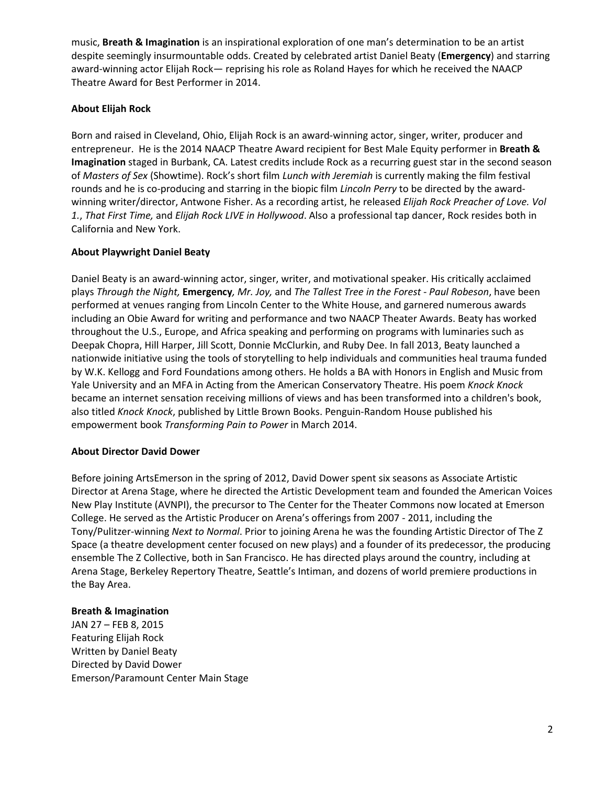music, **Breath & Imagination** is an inspirational exploration of one man's determination to be an artist despite seemingly insurmountable odds. Created by celebrated artist Daniel Beaty (**Emergency**) and starring award‐winning actor Elijah Rock— reprising his role as Roland Hayes for which he received the NAACP Theatre Award for Best Performer in 2014.

## **About Elijah Rock**

Born and raised in Cleveland, Ohio, Elijah Rock is an award‐winning actor, singer, writer, producer and entrepreneur. He is the 2014 NAACP Theatre Award recipient for Best Male Equity performer in **Breath & Imagination** staged in Burbank, CA. Latest credits include Rock as a recurring guest star in the second season of *Masters of Sex* (Showtime). Rock's short film *Lunch with Jeremiah* is currently making the film festival rounds and he is co‐producing and starring in the biopic film *Lincoln Perry* to be directed by the award‐ winning writer/director, Antwone Fisher. As a recording artist, he released *Elijah Rock Preacher of Love. Vol 1.*, *That First Time,* and *Elijah Rock LIVE in Hollywood*. Also a professional tap dancer, Rock resides both in California and New York.

### **About Playwright Daniel Beaty**

Daniel Beaty is an award‐winning actor, singer, writer, and motivational speaker. His critically acclaimed plays *Through the Night,* **Emergency***, Mr. Joy,* and *The Tallest Tree in the Forest - Paul Robeson*, have been performed at venues ranging from Lincoln Center to the White House, and garnered numerous awards including an Obie Award for writing and performance and two NAACP Theater Awards. Beaty has worked throughout the U.S., Europe, and Africa speaking and performing on programs with luminaries such as Deepak Chopra, Hill Harper, Jill Scott, Donnie McClurkin, and Ruby Dee. In fall 2013, Beaty launched a nationwide initiative using the tools of storytelling to help individuals and communities heal trauma funded by W.K. Kellogg and Ford Foundations among others. He holds a BA with Honors in English and Music from Yale University and an MFA in Acting from the American Conservatory Theatre. His poem *Knock Knock* became an internet sensation receiving millions of views and has been transformed into a children's book, also titled *Knock Knock*, published by Little Brown Books. Penguin‐Random House published his empowerment book *Transforming Pain to Power* in March 2014.

#### **About Director David Dower**

Before joining ArtsEmerson in the spring of 2012, David Dower spent six seasons as Associate Artistic Director at Arena Stage, where he directed the Artistic Development team and founded the American Voices New Play Institute (AVNPI), the precursor to The Center for the Theater Commons now located at Emerson College. He served as the Artistic Producer on Arena's offerings from 2007 ‐ 2011, including the Tony/Pulitzer‐winning *Next to Normal*. Prior to joining Arena he was the founding Artistic Director of The Z Space (a theatre development center focused on new plays) and a founder of its predecessor, the producing ensemble The Z Collective, both in San Francisco. He has directed plays around the country, including at Arena Stage, Berkeley Repertory Theatre, Seattle's Intiman, and dozens of world premiere productions in the Bay Area.

#### **Breath & Imagination**

JAN 27 – FEB 8, 2015 Featuring Elijah Rock Written by Daniel Beaty Directed by David Dower Emerson/Paramount Center Main Stage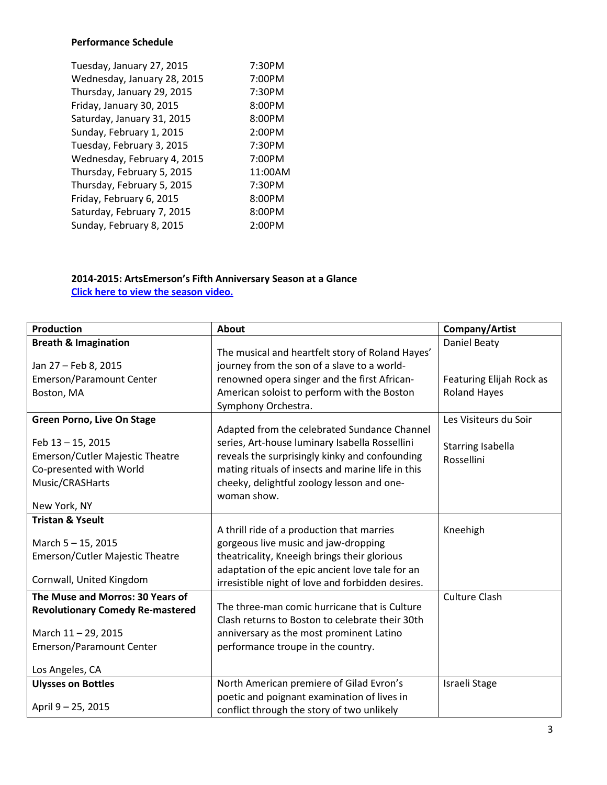### **Performance Schedule**

| 7:30PM  |
|---------|
| 7:00PM  |
| 7:30PM  |
| 8:00PM  |
| 8:00PM  |
| 2:00PM  |
| 7:30PM  |
| 7:00PM  |
| 11:00AM |
| 7:30PM  |
| 8:00PM  |
| 8:00PM  |
| 2:00PM  |
|         |

## **2014-2015: ArtsEmerson's Fifth Anniversary Season at a Glance Click here to view the season video.**

| <b>Production</b>                       | <b>About</b>                                                       | Company/Artist           |
|-----------------------------------------|--------------------------------------------------------------------|--------------------------|
| <b>Breath &amp; Imagination</b>         | The musical and heartfelt story of Roland Hayes'                   | Daniel Beaty             |
| Jan 27 - Feb 8, 2015                    | journey from the son of a slave to a world-                        |                          |
| Emerson/Paramount Center                | renowned opera singer and the first African-                       | Featuring Elijah Rock as |
| Boston, MA                              | American soloist to perform with the Boston<br>Symphony Orchestra. | <b>Roland Hayes</b>      |
| <b>Green Porno, Live On Stage</b>       | Adapted from the celebrated Sundance Channel                       | Les Visiteurs du Soir    |
| Feb 13-15, 2015                         | series, Art-house luminary Isabella Rossellini                     | Starring Isabella        |
| Emerson/Cutler Majestic Theatre         | reveals the surprisingly kinky and confounding                     | Rossellini               |
| Co-presented with World                 | mating rituals of insects and marine life in this                  |                          |
| Music/CRASHarts                         | cheeky, delightful zoology lesson and one-                         |                          |
|                                         | woman show.                                                        |                          |
| New York, NY                            |                                                                    |                          |
| <b>Tristan &amp; Yseult</b>             | A thrill ride of a production that marries                         | Kneehigh                 |
| March 5-15, 2015                        | gorgeous live music and jaw-dropping                               |                          |
| Emerson/Cutler Majestic Theatre         | theatricality, Kneeigh brings their glorious                       |                          |
|                                         | adaptation of the epic ancient love tale for an                    |                          |
| Cornwall, United Kingdom                | irresistible night of love and forbidden desires.                  |                          |
| The Muse and Morros: 30 Years of        |                                                                    | <b>Culture Clash</b>     |
| <b>Revolutionary Comedy Re-mastered</b> | The three-man comic hurricane that is Culture                      |                          |
|                                         | Clash returns to Boston to celebrate their 30th                    |                          |
| March 11 - 29, 2015                     | anniversary as the most prominent Latino                           |                          |
| Emerson/Paramount Center                | performance troupe in the country.                                 |                          |
| Los Angeles, CA                         |                                                                    |                          |
| <b>Ulysses on Bottles</b>               | North American premiere of Gilad Evron's                           | Israeli Stage            |
|                                         | poetic and poignant examination of lives in                        |                          |
| April 9 - 25, 2015                      | conflict through the story of two unlikely                         |                          |